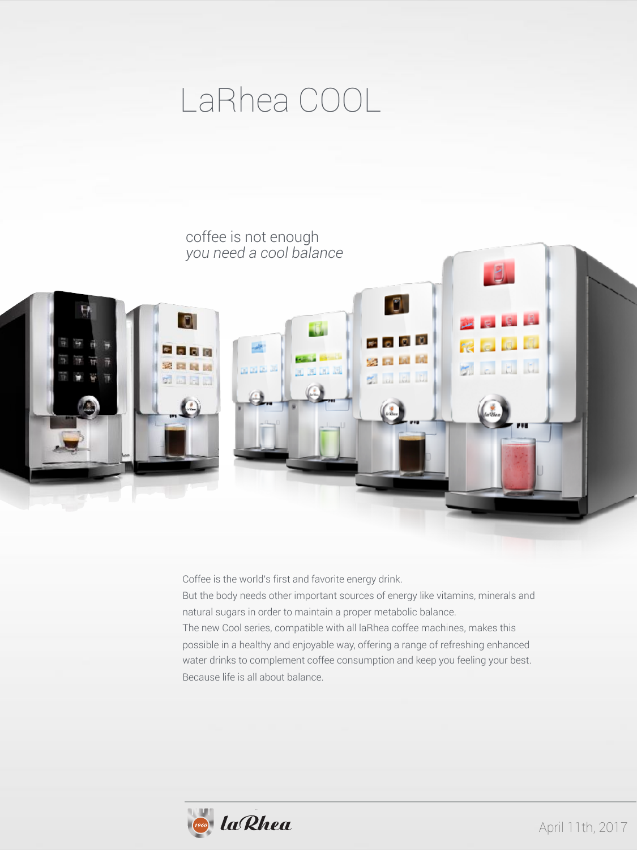## LaRhea COOL



Coffee is the world's first and favorite energy drink.

But the body needs other important sources of energy like vitamins, minerals and natural sugars in order to maintain a proper metabolic balance. The new Cool series, compatible with all laRhea coffee machines, makes this possible in a healthy and enjoyable way, offering a range of refreshing enhanced water drinks to complement coffee consumption and keep you feeling your best. Because life is all about balance.